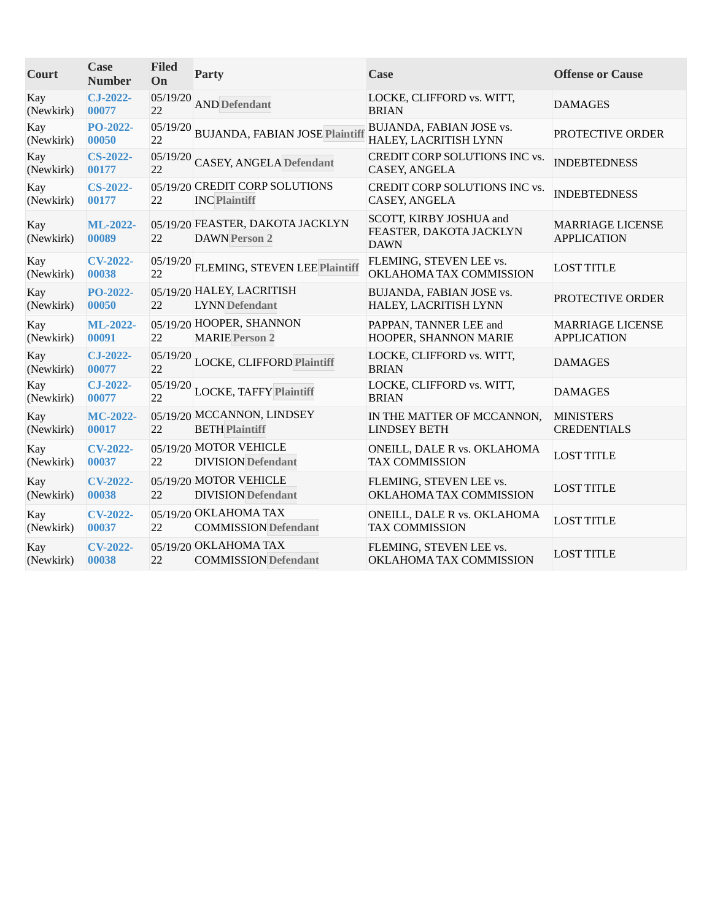| Court            | <b>Case</b><br><b>Number</b> | <b>Filed</b><br>On | <b>Party</b>                                             | Case                                                              | <b>Offense or Cause</b>                       |
|------------------|------------------------------|--------------------|----------------------------------------------------------|-------------------------------------------------------------------|-----------------------------------------------|
| Kay<br>(Newkirk) | $CJ-2022-$<br>00077          | 05/19/20<br>22     | <b>AND</b> Defendant                                     | LOCKE, CLIFFORD vs. WITT,<br><b>BRIAN</b>                         | <b>DAMAGES</b>                                |
| Kay<br>(Newkirk) | PO-2022-<br>00050            | 05/19/20<br>22     | <b>BUJANDA, FABIAN JOSE Plaintiff</b>                    | BUJANDA, FABIAN JOSE vs.<br>HALEY, LACRITISH LYNN                 | PROTECTIVE ORDER                              |
| Kay<br>(Newkirk) | <b>CS-2022-</b><br>00177     | 05/19/20<br>22     | <b>CASEY, ANGELA Defendant</b>                           | CREDIT CORP SOLUTIONS INC vs.<br>CASEY, ANGELA                    | <b>INDEBTEDNESS</b>                           |
| Kay<br>(Newkirk) | <b>CS-2022-</b><br>00177     | 22                 | 05/19/20 CREDIT CORP SOLUTIONS<br><b>INC Plaintiff</b>   | CREDIT CORP SOLUTIONS INC vs.<br><b>CASEY, ANGELA</b>             | <b>INDEBTEDNESS</b>                           |
| Kay<br>(Newkirk) | ML-2022-<br>00089            | 22                 | 05/19/20 FEASTER, DAKOTA JACKLYN<br><b>DAWN Person 2</b> | SCOTT, KIRBY JOSHUA and<br>FEASTER, DAKOTA JACKLYN<br><b>DAWN</b> | <b>MARRIAGE LICENSE</b><br><b>APPLICATION</b> |
| Kay<br>(Newkirk) | <b>CV-2022-</b><br>00038     | 05/19/20<br>22     | FLEMING, STEVEN LEE Plaintiff                            | FLEMING, STEVEN LEE vs.<br>OKLAHOMA TAX COMMISSION                | <b>LOST TITLE</b>                             |
| Kay<br>(Newkirk) | PO-2022-<br>00050            | 22                 | 05/19/20 HALEY, LACRITISH<br><b>LYNN</b> Defendant       | BUJANDA, FABIAN JOSE vs.<br>HALEY, LACRITISH LYNN                 | PROTECTIVE ORDER                              |
| Kay<br>(Newkirk) | ML-2022-<br>00091            | 22                 | 05/19/20 HOOPER, SHANNON<br><b>MARIE Person 2</b>        | PAPPAN, TANNER LEE and<br>HOOPER, SHANNON MARIE                   | <b>MARRIAGE LICENSE</b><br><b>APPLICATION</b> |
| Kay<br>(Newkirk) | $CJ-2022-$<br>00077          | 05/19/20<br>22     | LOCKE, CLIFFORD Plaintiff                                | LOCKE, CLIFFORD vs. WITT,<br><b>BRIAN</b>                         | <b>DAMAGES</b>                                |
| Kay<br>(Newkirk) | $CJ-2022-$<br>00077          | 05/19/20<br>22     | <b>LOCKE, TAFFY Plaintiff</b>                            | LOCKE, CLIFFORD vs. WITT,<br><b>BRIAN</b>                         | <b>DAMAGES</b>                                |
| Kay<br>(Newkirk) | MC-2022-<br>00017            | 22                 | 05/19/20 MCCANNON, LINDSEY<br><b>BETH Plaintiff</b>      | IN THE MATTER OF MCCANNON,<br><b>LINDSEY BETH</b>                 | <b>MINISTERS</b><br><b>CREDENTIALS</b>        |
| Kay<br>(Newkirk) | <b>CV-2022-</b><br>00037     | 22                 | 05/19/20 MOTOR VEHICLE<br><b>DIVISION</b> Defendant      | ONEILL, DALE R vs. OKLAHOMA<br><b>TAX COMMISSION</b>              | <b>LOST TITLE</b>                             |
| Kay<br>(Newkirk) | <b>CV-2022-</b><br>00038     | 22                 | 05/19/20 MOTOR VEHICLE<br><b>DIVISION</b> Defendant      | FLEMING, STEVEN LEE vs.<br>OKLAHOMA TAX COMMISSION                | <b>LOST TITLE</b>                             |
| Kay<br>(Newkirk) | <b>CV-2022-</b><br>00037     | 22                 | 05/19/20 OKLAHOMA TAX<br><b>COMMISSION Defendant</b>     | ONEILL, DALE R vs. OKLAHOMA<br><b>TAX COMMISSION</b>              | <b>LOST TITLE</b>                             |
| Kay<br>(Newkirk) | <b>CV-2022-</b><br>00038     | 22                 | 05/19/20 OKLAHOMA TAX<br><b>COMMISSION Defendant</b>     | FLEMING, STEVEN LEE vs.<br>OKLAHOMA TAX COMMISSION                | <b>LOST TITLE</b>                             |